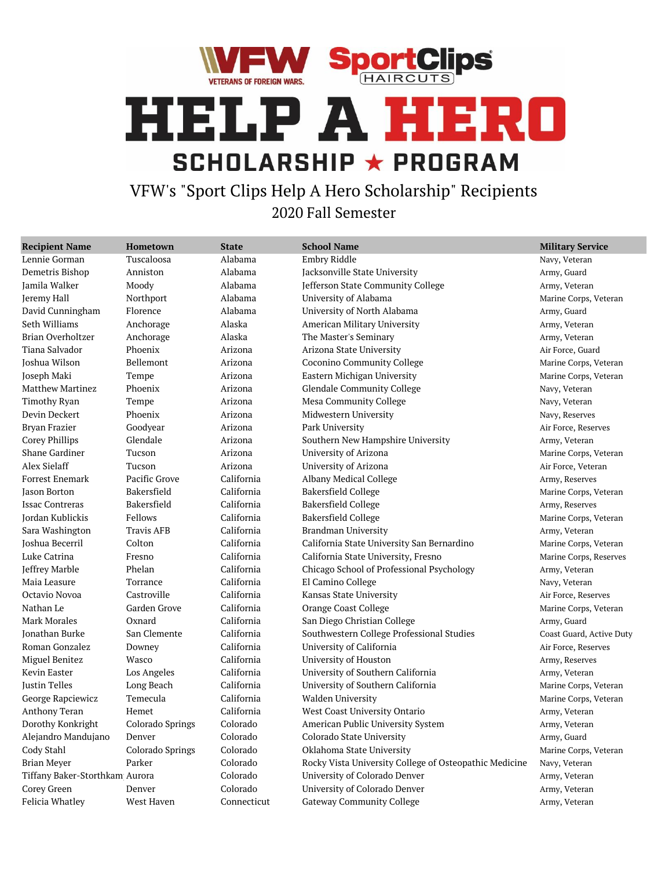



VFW's "Sport Clips Help A Hero Scholarship" Recipients 2020 Fall Semester

| <b>Recipient Name</b>          | Hometown          | <b>State</b> | <b>School Name</b>                                     | <b>Military Service</b>  |
|--------------------------------|-------------------|--------------|--------------------------------------------------------|--------------------------|
| Lennie Gorman                  | Tuscaloosa        | Alabama      | Embry Riddle                                           | Navy, Veteran            |
| Demetris Bishop                | Anniston          | Alabama      | Jacksonville State University                          | Army, Guard              |
| Jamila Walker                  | Moody             | Alabama      | Jefferson State Community College                      | Army, Veteran            |
| Jeremy Hall                    | Northport         | Alabama      | University of Alabama                                  | Marine Corps, Veteran    |
| David Cunningham               | Florence          | Alabama      | University of North Alabama                            | Army, Guard              |
| Seth Williams                  | Anchorage         | Alaska       | American Military University                           | Army, Veteran            |
| Brian Overholtzer              | Anchorage         | Alaska       | The Master's Seminary                                  | Army, Veteran            |
| Tiana Salvador                 | Phoenix           | Arizona      | Arizona State University                               | Air Force, Guard         |
| Joshua Wilson                  | Bellemont         | Arizona      | Coconino Community College                             | Marine Corps, Veteran    |
| Joseph Maki                    | Tempe             | Arizona      | Eastern Michigan University                            | Marine Corps, Veteran    |
| Matthew Martinez               | Phoenix           | Arizona      | <b>Glendale Community College</b>                      | Navy, Veteran            |
| Timothy Ryan                   | Tempe             | Arizona      | Mesa Community College                                 | Navy, Veteran            |
| Devin Deckert                  | Phoenix           | Arizona      | Midwestern University                                  | Navy, Reserves           |
| Bryan Frazier                  | Goodyear          | Arizona      | Park University                                        | Air Force, Reserves      |
| Corey Phillips                 | Glendale          | Arizona      | Southern New Hampshire University                      | Army, Veteran            |
| <b>Shane Gardiner</b>          | Tucson            | Arizona      | University of Arizona                                  | Marine Corps, Veteran    |
| Alex Sielaff                   | Tucson            | Arizona      | University of Arizona                                  | Air Force, Veteran       |
| Forrest Enemark                | Pacific Grove     | California   | Albany Medical College                                 | Army, Reserves           |
| <b>Jason Borton</b>            | Bakersfield       | California   | Bakersfield College                                    | Marine Corps, Veteran    |
| <b>Issac Contreras</b>         | Bakersfield       | California   | <b>Bakersfield College</b>                             | Army, Reserves           |
| Jordan Kublickis               | Fellows           | California   | Bakersfield College                                    | Marine Corps, Veteran    |
| Sara Washington                | <b>Travis AFB</b> | California   | Brandman University                                    | Army, Veteran            |
| Joshua Becerril                | Colton            | California   | California State University San Bernardino             | Marine Corps, Veteran    |
| Luke Catrina                   | Fresno            | California   | California State University, Fresno                    | Marine Corps, Reserves   |
| Jeffrey Marble                 | Phelan            | California   | Chicago School of Professional Psychology              | Army, Veteran            |
| Maia Leasure                   | Torrance          | California   | El Camino College                                      | Navy, Veteran            |
| Octavio Novoa                  | Castroville       | California   | Kansas State University                                | Air Force, Reserves      |
| Nathan Le                      | Garden Grove      | California   | Orange Coast College                                   | Marine Corps, Veteran    |
| Mark Morales                   | Oxnard            | California   | San Diego Christian College                            | Army, Guard              |
| Jonathan Burke                 | San Clemente      | California   | Southwestern College Professional Studies              | Coast Guard, Active Duty |
| Roman Gonzalez                 | Downey            | California   | University of California                               | Air Force, Reserves      |
| Miguel Benitez                 | Wasco             | California   | University of Houston                                  | Army, Reserves           |
| Kevin Easter                   | Los Angeles       | California   | University of Southern California                      | Army, Veteran            |
| Justin Telles                  | Long Beach        | California   | University of Southern California                      | Marine Corps, Veteran    |
| George Rapciewicz              | Temecula          | California   | Walden University                                      | Marine Corps, Veteran    |
| Anthony Teran                  | Hemet             | California   | West Coast University Ontario                          | Army, Veteran            |
| Dorothy Konkright              | Colorado Springs  | Colorado     | American Public University System                      | Army, Veteran            |
| Alejandro Mandujano            | Denver            | Colorado     | Colorado State University                              | Army, Guard              |
| Cody Stahl                     | Colorado Springs  | Colorado     | Oklahoma State University                              | Marine Corps, Veteran    |
| <b>Brian Meyer</b>             | Parker            | Colorado     | Rocky Vista University College of Osteopathic Medicine | Navy, Veteran            |
| Tiffany Baker-Storthkam Aurora |                   | Colorado     | University of Colorado Denver                          | Army, Veteran            |
| Corey Green                    | Denver            | Colorado     | University of Colorado Denver                          | Army, Veteran            |
| Felicia Whatley                | West Haven        | Connecticut  | <b>Gateway Community College</b>                       | Army, Veteran            |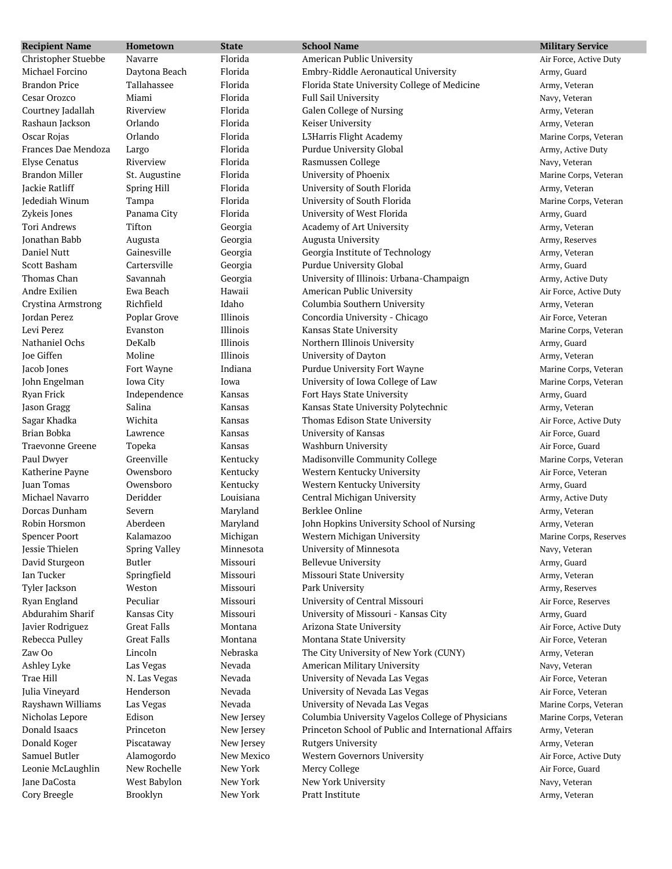| <b>Recipient Name</b>   | Hometown             | <b>State</b> | <b>School Name</b>                                   | <b>Military Service</b> |
|-------------------------|----------------------|--------------|------------------------------------------------------|-------------------------|
| Christopher Stuebbe     | Navarre              | Florida      | American Public University                           | Air Force, Active Duty  |
| Michael Forcino         | Daytona Beach        | Florida      | Embry-Riddle Aeronautical University                 | Army, Guard             |
| <b>Brandon Price</b>    | Tallahassee          | Florida      | Florida State University College of Medicine         | Army, Veteran           |
| Cesar Orozco            | Miami                | Florida      | Full Sail University                                 | Navy, Veteran           |
| Courtney Jadallah       | Riverview            | Florida      | Galen College of Nursing                             | Army, Veteran           |
| Rashaun Jackson         | Orlando              | Florida      | Keiser University                                    | Army, Veteran           |
| Oscar Rojas             | Orlando              | Florida      | L3Harris Flight Academy                              | Marine Corps, Veteran   |
| Frances Dae Mendoza     | Largo                | Florida      | Purdue University Global                             | Army, Active Duty       |
| <b>Elyse Cenatus</b>    | Riverview            | Florida      | Rasmussen College                                    | Navy, Veteran           |
| Brandon Miller          | St. Augustine        | Florida      | University of Phoenix                                | Marine Corps, Veteran   |
| <b>Jackie Ratliff</b>   | Spring Hill          | Florida      | University of South Florida                          | Army, Veteran           |
| Jedediah Winum          | Tampa                | Florida      | University of South Florida                          | Marine Corps, Veteran   |
| Zykeis Jones            | Panama City          | Florida      | University of West Florida                           | Army, Guard             |
| <b>Tori Andrews</b>     | Tifton               | Georgia      | Academy of Art University                            | Army, Veteran           |
| Jonathan Babb           | Augusta              | Georgia      | Augusta University                                   | Army, Reserves          |
| Daniel Nutt             | Gainesville          | Georgia      | Georgia Institute of Technology                      | Army, Veteran           |
| Scott Basham            | Cartersville         | Georgia      | Purdue University Global                             | Army, Guard             |
| Thomas Chan             | Savannah             | Georgia      | University of Illinois: Urbana-Champaign             | Army, Active Duty       |
| Andre Exilien           | Ewa Beach            | Hawaii       | American Public University                           | Air Force, Active Duty  |
| Crystina Armstrong      | Richfield            | Idaho        | Columbia Southern University                         | Army, Veteran           |
| Jordan Perez            | Poplar Grove         | Illinois     | Concordia University - Chicago                       | Air Force, Veteran      |
| Levi Perez              | Evanston             | Illinois     | Kansas State University                              | Marine Corps, Veteran   |
| Nathaniel Ochs          | DeKalb               | Illinois     | Northern Illinois University                         | Army, Guard             |
| Joe Giffen              | Moline               | Illinois     | University of Dayton                                 | Army, Veteran           |
| Jacob Jones             | Fort Wayne           | Indiana      | Purdue University Fort Wayne                         | Marine Corps, Veteran   |
| John Engelman           | Iowa City            | Iowa         | University of Iowa College of Law                    | Marine Corps, Veteran   |
| Ryan Frick              | Independence         | Kansas       | Fort Hays State University                           | Army, Guard             |
| Jason Gragg             | Salina               | Kansas       | Kansas State University Polytechnic                  | Army, Veteran           |
| Sagar Khadka            | Wichita              | Kansas       | Thomas Edison State University                       | Air Force, Active Duty  |
| Brian Bobka             | Lawrence             | Kansas       | University of Kansas                                 | Air Force, Guard        |
| <b>Traevonne Greene</b> | Topeka               | Kansas       | Washburn University                                  | Air Force, Guard        |
| Paul Dwyer              | Greenville           | Kentucky     | Madisonville Community College                       | Marine Corps, Veteran   |
| Katherine Payne         | Owensboro            | Kentucky     | Western Kentucky University                          | Air Force, Veteran      |
| Juan Tomas              | Owensboro            | Kentucky     | Western Kentucky University                          | Army, Guard             |
| Michael Navarro         | Deridder             | Louisiana    | Central Michigan University                          | Army, Active Duty       |
| Dorcas Dunham           | Severn               | Maryland     | Berklee Online                                       | Army, Veteran           |
| Robin Horsmon           | Aberdeen             | Maryland     | John Hopkins University School of Nursing            | Army, Veteran           |
| <b>Spencer Poort</b>    | Kalamazoo            | Michigan     | Western Michigan University                          | Marine Corps, Reserves  |
| Jessie Thielen          | <b>Spring Valley</b> | Minnesota    | University of Minnesota                              | Navy, Veteran           |
| David Sturgeon          | Butler               | Missouri     | <b>Bellevue University</b>                           | Army, Guard             |
| Ian Tucker              | Springfield          | Missouri     | Missouri State University                            | Army, Veteran           |
| Tyler Jackson           | Weston               | Missouri     | Park University                                      | Army, Reserves          |
| Ryan England            | Peculiar             | Missouri     | University of Central Missouri                       | Air Force, Reserves     |
| Abdurahim Sharif        | Kansas City          | Missouri     | University of Missouri - Kansas City                 | Army, Guard             |
| Javier Rodriguez        | <b>Great Falls</b>   | Montana      | Arizona State University                             | Air Force, Active Duty  |
| Rebecca Pulley          | <b>Great Falls</b>   | Montana      | Montana State University                             | Air Force, Veteran      |
| Zaw Oo                  | Lincoln              | Nebraska     | The City University of New York (CUNY)               | Army, Veteran           |
| Ashley Lyke             | Las Vegas            | Nevada       | American Military University                         | Navy, Veteran           |
| Trae Hill               | N. Las Vegas         | Nevada       | University of Nevada Las Vegas                       | Air Force, Veteran      |
| Julia Vineyard          | Henderson            | Nevada       | University of Nevada Las Vegas                       | Air Force, Veteran      |
| Rayshawn Williams       | Las Vegas            | Nevada       | University of Nevada Las Vegas                       | Marine Corps, Veteran   |
| Nicholas Lepore         | Edison               | New Jersey   | Columbia University Vagelos College of Physicians    | Marine Corps, Veteran   |
| Donald Isaacs           | Princeton            | New Jersey   | Princeton School of Public and International Affairs | Army, Veteran           |
| Donald Koger            | Piscataway           | New Jersey   | <b>Rutgers University</b>                            | Army, Veteran           |
| Samuel Butler           | Alamogordo           | New Mexico   | Western Governors University                         | Air Force, Active Duty  |
| Leonie McLaughlin       | New Rochelle         | New York     | Mercy College                                        | Air Force, Guard        |
| Jane DaCosta            | West Babylon         | New York     | New York University                                  | Navy, Veteran           |
| Cory Breegle            | Brooklyn             | New York     | Pratt Institute                                      | Army, Veteran           |